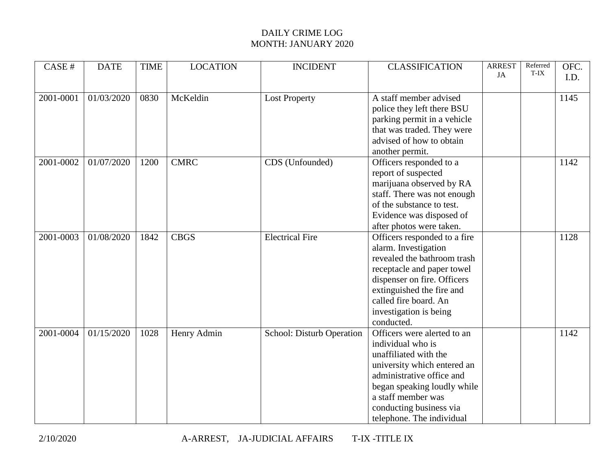| CASE #    | <b>DATE</b> | <b>TIME</b> | <b>LOCATION</b> | <b>INCIDENT</b>           | <b>CLASSIFICATION</b>        | <b>ARREST</b><br>JA | Referred<br>T-IX | OFC.<br>I.D. |
|-----------|-------------|-------------|-----------------|---------------------------|------------------------------|---------------------|------------------|--------------|
|           |             |             |                 |                           |                              |                     |                  |              |
| 2001-0001 | 01/03/2020  | 0830        | McKeldin        | <b>Lost Property</b>      | A staff member advised       |                     |                  | 1145         |
|           |             |             |                 |                           | police they left there BSU   |                     |                  |              |
|           |             |             |                 |                           | parking permit in a vehicle  |                     |                  |              |
|           |             |             |                 |                           | that was traded. They were   |                     |                  |              |
|           |             |             |                 |                           | advised of how to obtain     |                     |                  |              |
|           |             |             |                 |                           | another permit.              |                     |                  |              |
| 2001-0002 | 01/07/2020  | 1200        | <b>CMRC</b>     | CDS (Unfounded)           | Officers responded to a      |                     |                  | 1142         |
|           |             |             |                 |                           | report of suspected          |                     |                  |              |
|           |             |             |                 |                           | marijuana observed by RA     |                     |                  |              |
|           |             |             |                 |                           | staff. There was not enough  |                     |                  |              |
|           |             |             |                 |                           | of the substance to test.    |                     |                  |              |
|           |             |             |                 |                           | Evidence was disposed of     |                     |                  |              |
|           |             |             |                 |                           | after photos were taken.     |                     |                  |              |
| 2001-0003 | 01/08/2020  | 1842        | <b>CBGS</b>     | <b>Electrical Fire</b>    | Officers responded to a fire |                     |                  | 1128         |
|           |             |             |                 |                           | alarm. Investigation         |                     |                  |              |
|           |             |             |                 |                           | revealed the bathroom trash  |                     |                  |              |
|           |             |             |                 |                           | receptacle and paper towel   |                     |                  |              |
|           |             |             |                 |                           | dispenser on fire. Officers  |                     |                  |              |
|           |             |             |                 |                           | extinguished the fire and    |                     |                  |              |
|           |             |             |                 |                           | called fire board. An        |                     |                  |              |
|           |             |             |                 |                           | investigation is being       |                     |                  |              |
|           |             |             |                 |                           | conducted.                   |                     |                  |              |
| 2001-0004 | 01/15/2020  | 1028        | Henry Admin     | School: Disturb Operation | Officers were alerted to an  |                     |                  | 1142         |
|           |             |             |                 |                           | individual who is            |                     |                  |              |
|           |             |             |                 |                           | unaffiliated with the        |                     |                  |              |
|           |             |             |                 |                           | university which entered an  |                     |                  |              |
|           |             |             |                 |                           | administrative office and    |                     |                  |              |
|           |             |             |                 |                           | began speaking loudly while  |                     |                  |              |
|           |             |             |                 |                           | a staff member was           |                     |                  |              |
|           |             |             |                 |                           | conducting business via      |                     |                  |              |
|           |             |             |                 |                           | telephone. The individual    |                     |                  |              |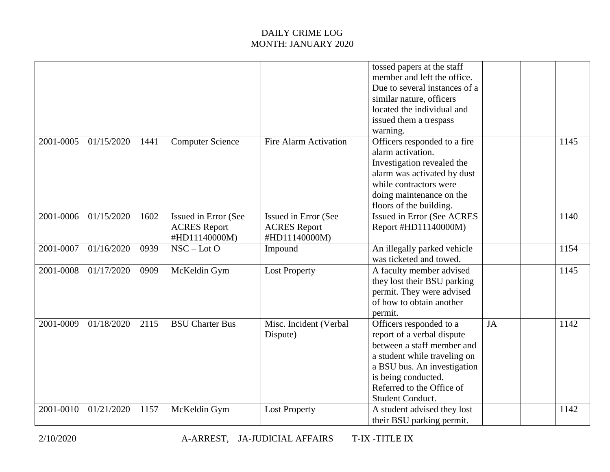|           |            |      |                                                              |                                                              | tossed papers at the staff<br>member and left the office.<br>Due to several instances of a<br>similar nature, officers<br>located the individual and<br>issued them a trespass<br>warning.                                 |    |      |  |
|-----------|------------|------|--------------------------------------------------------------|--------------------------------------------------------------|----------------------------------------------------------------------------------------------------------------------------------------------------------------------------------------------------------------------------|----|------|--|
| 2001-0005 | 01/15/2020 | 1441 | <b>Computer Science</b>                                      | <b>Fire Alarm Activation</b>                                 | Officers responded to a fire<br>alarm activation.<br>Investigation revealed the<br>alarm was activated by dust<br>while contractors were<br>doing maintenance on the<br>floors of the building.                            |    | 1145 |  |
| 2001-0006 | 01/15/2020 | 1602 | Issued in Error (See<br><b>ACRES</b> Report<br>#HD11140000M) | Issued in Error (See<br><b>ACRES</b> Report<br>#HD11140000M) | <b>Issued in Error (See ACRES</b><br>Report #HD11140000M)                                                                                                                                                                  |    | 1140 |  |
| 2001-0007 | 01/16/2020 | 0939 | $NSC - LotO$                                                 | Impound                                                      | An illegally parked vehicle<br>was ticketed and towed.                                                                                                                                                                     |    | 1154 |  |
| 2001-0008 | 01/17/2020 | 0909 | McKeldin Gym                                                 | <b>Lost Property</b>                                         | A faculty member advised<br>they lost their BSU parking<br>permit. They were advised<br>of how to obtain another<br>permit.                                                                                                |    | 1145 |  |
| 2001-0009 | 01/18/2020 | 2115 | <b>BSU Charter Bus</b>                                       | Misc. Incident (Verbal<br>Dispute)                           | Officers responded to a<br>report of a verbal dispute<br>between a staff member and<br>a student while traveling on<br>a BSU bus. An investigation<br>is being conducted.<br>Referred to the Office of<br>Student Conduct. | JA | 1142 |  |
| 2001-0010 | 01/21/2020 | 1157 | McKeldin Gym                                                 | <b>Lost Property</b>                                         | A student advised they lost<br>their BSU parking permit.                                                                                                                                                                   |    | 1142 |  |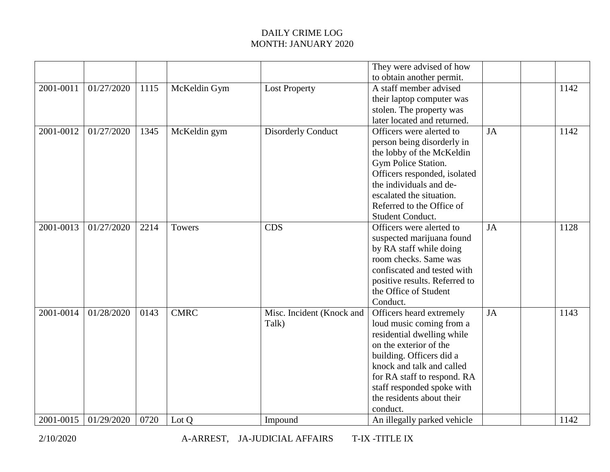|                        |                          |              |              |                                    | They were advised of how<br>to obtain another permit.                                                                                                                                                                                                                       |    |              |
|------------------------|--------------------------|--------------|--------------|------------------------------------|-----------------------------------------------------------------------------------------------------------------------------------------------------------------------------------------------------------------------------------------------------------------------------|----|--------------|
| 2001-0011              | 01/27/2020               | 1115         | McKeldin Gym | <b>Lost Property</b>               | A staff member advised<br>their laptop computer was<br>stolen. The property was<br>later located and returned.                                                                                                                                                              |    | 1142         |
| 2001-0012              | 01/27/2020               | 1345         | McKeldin gym | <b>Disorderly Conduct</b>          | Officers were alerted to<br>person being disorderly in<br>the lobby of the McKeldin<br>Gym Police Station.<br>Officers responded, isolated<br>the individuals and de-<br>escalated the situation.<br>Referred to the Office of<br>Student Conduct.                          | JA | 1142         |
| 2001-0013              | 01/27/2020               | 2214         | Towers       | <b>CDS</b>                         | Officers were alerted to<br>suspected marijuana found<br>by RA staff while doing<br>room checks. Same was<br>confiscated and tested with<br>positive results. Referred to<br>the Office of Student<br>Conduct.                                                              | JA | 1128         |
| 2001-0014<br>2001-0015 | 01/28/2020<br>01/29/2020 | 0143<br>0720 | <b>CMRC</b>  | Misc. Incident (Knock and<br>Talk) | Officers heard extremely<br>loud music coming from a<br>residential dwelling while<br>on the exterior of the<br>building. Officers did a<br>knock and talk and called<br>for RA staff to respond. RA<br>staff responded spoke with<br>the residents about their<br>conduct. | JA | 1143<br>1142 |
|                        |                          |              | Lot Q        | Impound                            | An illegally parked vehicle                                                                                                                                                                                                                                                 |    |              |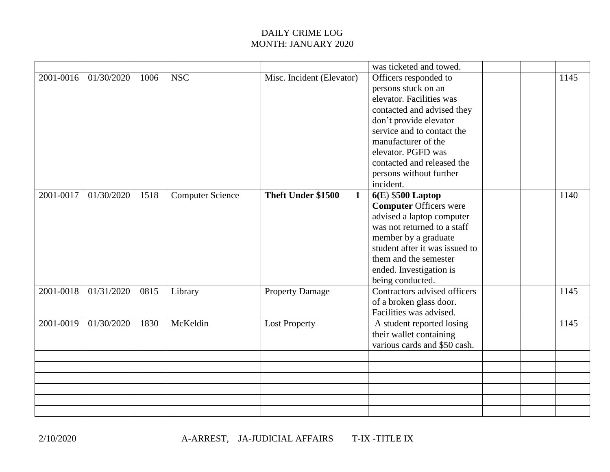|           |            |      |                         |                                   | was ticketed and towed.        |  |      |
|-----------|------------|------|-------------------------|-----------------------------------|--------------------------------|--|------|
| 2001-0016 | 01/30/2020 | 1006 | <b>NSC</b>              | Misc. Incident (Elevator)         | Officers responded to          |  | 1145 |
|           |            |      |                         |                                   | persons stuck on an            |  |      |
|           |            |      |                         |                                   | elevator. Facilities was       |  |      |
|           |            |      |                         |                                   | contacted and advised they     |  |      |
|           |            |      |                         |                                   | don't provide elevator         |  |      |
|           |            |      |                         |                                   | service and to contact the     |  |      |
|           |            |      |                         |                                   | manufacturer of the            |  |      |
|           |            |      |                         |                                   | elevator. PGFD was             |  |      |
|           |            |      |                         |                                   | contacted and released the     |  |      |
|           |            |      |                         |                                   | persons without further        |  |      |
|           |            |      |                         |                                   | incident.                      |  |      |
| 2001-0017 | 01/30/2020 | 1518 | <b>Computer Science</b> | Theft Under \$1500<br>$\mathbf 1$ | $6(E)$ \$500 Laptop            |  | 1140 |
|           |            |      |                         |                                   | <b>Computer Officers were</b>  |  |      |
|           |            |      |                         |                                   | advised a laptop computer      |  |      |
|           |            |      |                         |                                   | was not returned to a staff    |  |      |
|           |            |      |                         |                                   | member by a graduate           |  |      |
|           |            |      |                         |                                   | student after it was issued to |  |      |
|           |            |      |                         |                                   | them and the semester          |  |      |
|           |            |      |                         |                                   | ended. Investigation is        |  |      |
|           |            |      |                         |                                   | being conducted.               |  |      |
| 2001-0018 | 01/31/2020 | 0815 | Library                 | <b>Property Damage</b>            | Contractors advised officers   |  | 1145 |
|           |            |      |                         |                                   | of a broken glass door.        |  |      |
|           |            |      |                         |                                   | Facilities was advised.        |  |      |
| 2001-0019 | 01/30/2020 | 1830 | McKeldin                | <b>Lost Property</b>              | A student reported losing      |  | 1145 |
|           |            |      |                         |                                   | their wallet containing        |  |      |
|           |            |      |                         |                                   | various cards and \$50 cash.   |  |      |
|           |            |      |                         |                                   |                                |  |      |
|           |            |      |                         |                                   |                                |  |      |
|           |            |      |                         |                                   |                                |  |      |
|           |            |      |                         |                                   |                                |  |      |
|           |            |      |                         |                                   |                                |  |      |
|           |            |      |                         |                                   |                                |  |      |